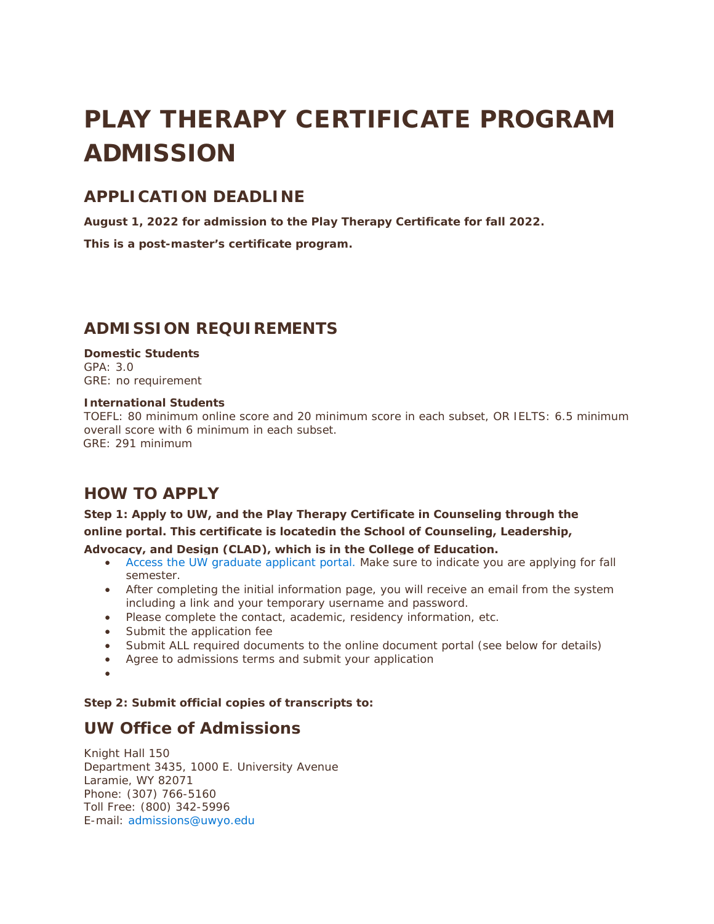# PLAY THERAPY CERTIFICATE PROGRAM ADMISSION

### **APPLICATION DEADLINE**

**August 1, 2022 for admission to the Play Therapy Certificate for fall 2022.**

**This is a post-master's certificate program.** 

## **ADMISSION REQUIREMENTS**

#### **Domestic Students** GPA: 3.0

GRE: no requirement

#### **International Students**

TOEFL: 80 minimum online score and 20 minimum score in each subset, OR IELTS: 6.5 minimum overall score with 6 minimum in each subset. GRE: 291 minimum

## **HOW TO APPLY**

#### **Step 1: Apply to UW, and the Play Therapy Certificate in Counseling through the online portal. This certificate is locatedin the School of Counseling, Leadership,**

#### **Advocacy, and Design (CLAD), which is in the College of Education.**

- [Access the UW graduate applicant portal.](https://wyoming-edu.secure.force.com/) Make sure to indicate you are applying for fall semester.
- After completing the initial information page, you will receive an email from the system including a link and your temporary username and password.
- Please complete the contact, academic, residency information, etc.
- Submit the application fee
- Submit ALL required documents to the online document portal (see below for details)
- Agree to admissions terms and submit your application
- •

#### **Step 2: Submit official copies of transcripts to:**

#### **UW Office of Admissions**

Knight Hall 150 Department 3435, 1000 E. University Avenue Laramie, WY 82071 Phone: (307) 766-5160 Toll Free: (800) 342-5996 E-mail: [admissions@uwyo.edu](mailto:admissions@uwyo.edu)